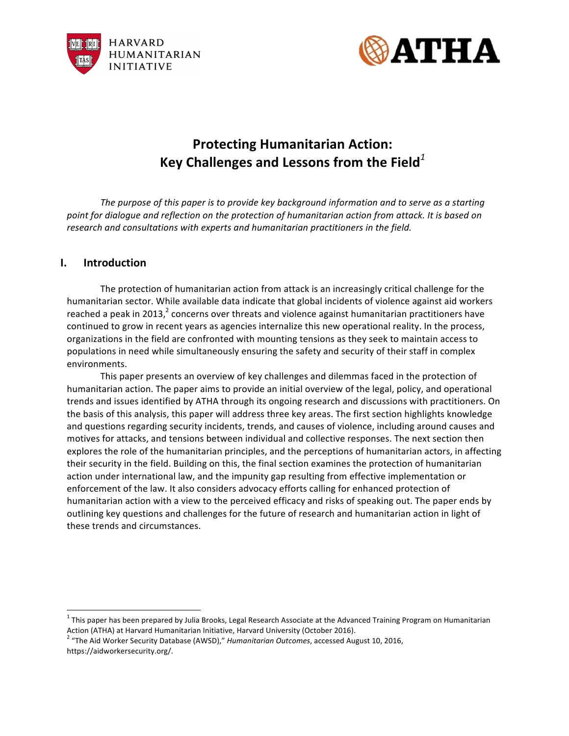



# **Protecting Humanitarian Action:** Key Challenges and Lessons from the Field<sup>1</sup>

The purpose of this paper is to provide key background information and to serve as a starting point for dialogue and reflection on the protection of humanitarian action from attack. It is based on research and consultations with experts and humanitarian practitioners in the field.

# **I. Introduction**

The protection of humanitarian action from attack is an increasingly critical challenge for the humanitarian sector. While available data indicate that global incidents of violence against aid workers reached a peak in 2013, $^2$  concerns over threats and violence against humanitarian practitioners have continued to grow in recent years as agencies internalize this new operational reality. In the process, organizations in the field are confronted with mounting tensions as they seek to maintain access to populations in need while simultaneously ensuring the safety and security of their staff in complex environments.

This paper presents an overview of key challenges and dilemmas faced in the protection of humanitarian action. The paper aims to provide an initial overview of the legal, policy, and operational trends and issues identified by ATHA through its ongoing research and discussions with practitioners. On the basis of this analysis, this paper will address three key areas. The first section highlights knowledge and questions regarding security incidents, trends, and causes of violence, including around causes and motives for attacks, and tensions between individual and collective responses. The next section then explores the role of the humanitarian principles, and the perceptions of humanitarian actors, in affecting their security in the field. Building on this, the final section examines the protection of humanitarian action under international law, and the impunity gap resulting from effective implementation or enforcement of the law. It also considers advocacy efforts calling for enhanced protection of humanitarian action with a view to the perceived efficacy and risks of speaking out. The paper ends by outlining key questions and challenges for the future of research and humanitarian action in light of these trends and circumstances.

 $1$ This paper has been prepared by Julia Brooks, Legal Research Associate at the Advanced Training Program on Humanitarian

Action (ATHA) at Harvard Humanitarian Initiative, Harvard University (October 2016).<br><sup>2</sup> "The Aid Worker Security Database (AWSD)," *Humanitarian Outcomes*, accessed August 10, 2016, https://aidworkersecurity.org/.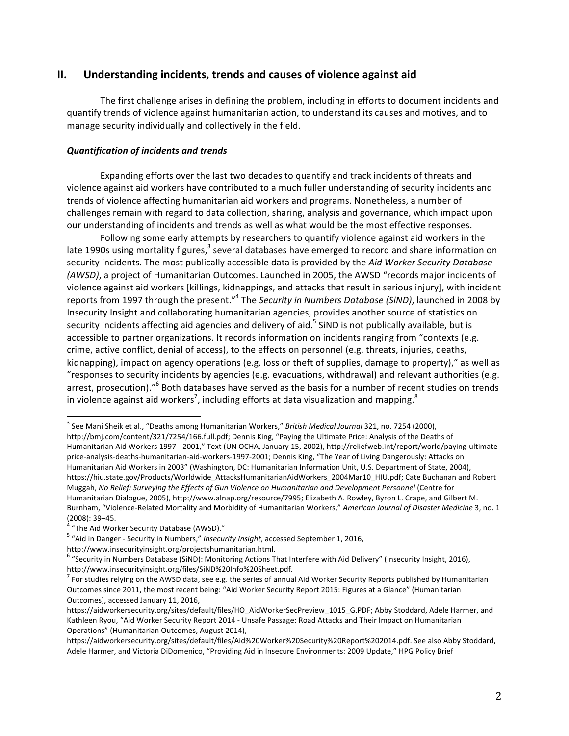## **II.** Understanding incidents, trends and causes of violence against aid

The first challenge arises in defining the problem, including in efforts to document incidents and quantify trends of violence against humanitarian action, to understand its causes and motives, and to manage security individually and collectively in the field.

## *Quantification of incidents and trends*

Expanding efforts over the last two decades to quantify and track incidents of threats and violence against aid workers have contributed to a much fuller understanding of security incidents and trends of violence affecting humanitarian aid workers and programs. Nonetheless, a number of challenges remain with regard to data collection, sharing, analysis and governance, which impact upon our understanding of incidents and trends as well as what would be the most effective responses.

Following some early attempts by researchers to quantify violence against aid workers in the late 1990s using mortality figures,<sup>3</sup> several databases have emerged to record and share information on security incidents. The most publically accessible data is provided by the *Aid Worker Security Database (AWSD)*, a project of Humanitarian Outcomes. Launched in 2005, the AWSD "records major incidents of violence against aid workers [killings, kidnappings, and attacks that result in serious injury], with incident reports from 1997 through the present."<sup>4</sup> The *Security in Numbers Database (SiND)*, launched in 2008 by Insecurity Insight and collaborating humanitarian agencies, provides another source of statistics on security incidents affecting aid agencies and delivery of aid.<sup>5</sup> SiND is not publically available, but is accessible to partner organizations. It records information on incidents ranging from "contexts (e.g. crime, active conflict, denial of access), to the effects on personnel (e.g. threats, injuries, deaths, kidnapping), impact on agency operations (e.g. loss or theft of supplies, damage to property)," as well as "responses to security incidents by agencies (e.g. evacuations, withdrawal) and relevant authorities (e.g. arrest, prosecution)."<sup>6</sup> Both databases have served as the basis for a number of recent studies on trends in violence against aid workers<sup>7</sup>, including efforts at data visualization and mapping.<sup>8</sup>

<sup>&</sup>lt;sup>3</sup> See Mani Sheik et al., "Deaths among Humanitarian Workers," *British Medical Journal* 321, no. 7254 (2000),

http://bmj.com/content/321/7254/166.full.pdf; Dennis King, "Paying the Ultimate Price: Analysis of the Deaths of Humanitarian Aid Workers 1997 - 2001," Text (UN OCHA, January 15, 2002), http://reliefweb.int/report/world/paying-ultimateprice-analysis-deaths-humanitarian-aid-workers-1997-2001; Dennis King, "The Year of Living Dangerously: Attacks on Humanitarian Aid Workers in 2003" (Washington, DC: Humanitarian Information Unit, U.S. Department of State, 2004), https://hiu.state.gov/Products/Worldwide\_AttacksHumanitarianAidWorkers\_2004Mar10\_HIU.pdf; Cate Buchanan and Robert Muggah, No Relief: Surveying the Effects of Gun Violence on Humanitarian and Development Personnel (Centre for Humanitarian Dialogue, 2005), http://www.alnap.org/resource/7995; Elizabeth A. Rowley, Byron L. Crape, and Gilbert M. Burnham, "Violence-Related Mortality and Morbidity of Humanitarian Workers," *American Journal of Disaster Medicine* 3, no. 1 (2008): 39–45.<br>(2008): 39–45.<br><sup>4</sup> "The Aid Worker Sesurity: Database (2005)."

<sup>&</sup>quot;The Aid Worker Security Database (AWSD)."

<sup>&</sup>lt;sup>5</sup> "Aid in Danger - Security in Numbers," Insecurity Insight, accessed September 1, 2016,

http://www.insecurityinsight.org/projectshumanitarian.html.

 $6$  "Security in Numbers Database (SiND): Monitoring Actions That Interfere with Aid Delivery" (Insecurity Insight, 2016), http://www.insecurityinsight.org/files/SiND%20Info%20Sheet.pdf.

 $<sup>7</sup>$  For studies relying on the AWSD data, see e.g. the series of annual Aid Worker Security Reports published by Humanitarian</sup> Outcomes since 2011, the most recent being: "Aid Worker Security Report 2015: Figures at a Glance" (Humanitarian Outcomes), accessed January 11, 2016,

https://aidworkersecurity.org/sites/default/files/HO\_AidWorkerSecPreview\_1015\_G.PDF; Abby Stoddard, Adele Harmer, and Kathleen Ryou, "Aid Worker Security Report 2014 - Unsafe Passage: Road Attacks and Their Impact on Humanitarian Operations" (Humanitarian Outcomes, August 2014), 

https://aidworkersecurity.org/sites/default/files/Aid%20Worker%20Security%20Report%202014.pdf. See also Abby Stoddard, Adele Harmer, and Victoria DiDomenico, "Providing Aid in Insecure Environments: 2009 Update," HPG Policy Brief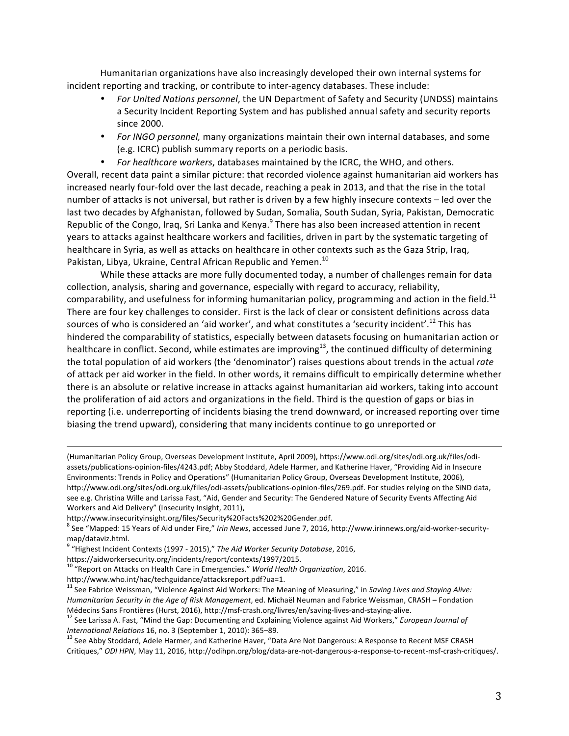Humanitarian organizations have also increasingly developed their own internal systems for incident reporting and tracking, or contribute to inter-agency databases. These include:

- For United Nations personnel, the UN Department of Safety and Security (UNDSS) maintains a Security Incident Reporting System and has published annual safety and security reports since 2000.
- For INGO personnel, many organizations maintain their own internal databases, and some (e.g. ICRC) publish summary reports on a periodic basis.
- For healthcare workers, databases maintained by the ICRC, the WHO, and others.

Overall, recent data paint a similar picture: that recorded violence against humanitarian aid workers has increased nearly four-fold over the last decade, reaching a peak in 2013, and that the rise in the total number of attacks is not universal, but rather is driven by a few highly insecure contexts – led over the last two decades by Afghanistan, followed by Sudan, Somalia, South Sudan, Syria, Pakistan, Democratic Republic of the Congo, Iraq, Sri Lanka and Kenya. $9$  There has also been increased attention in recent years to attacks against healthcare workers and facilities, driven in part by the systematic targeting of healthcare in Syria, as well as attacks on healthcare in other contexts such as the Gaza Strip, Iraq, Pakistan, Libya, Ukraine, Central African Republic and Yemen.<sup>10</sup>

While these attacks are more fully documented today, a number of challenges remain for data collection, analysis, sharing and governance, especially with regard to accuracy, reliability, comparability, and usefulness for informing humanitarian policy, programming and action in the field.<sup>11</sup> There are four key challenges to consider. First is the lack of clear or consistent definitions across data sources of who is considered an 'aid worker', and what constitutes a 'security incident'.<sup>12</sup> This has hindered the comparability of statistics, especially between datasets focusing on humanitarian action or healthcare in conflict. Second, while estimates are improving<sup>13</sup>, the continued difficulty of determining the total population of aid workers (the 'denominator') raises questions about trends in the actual *rate* of attack per aid worker in the field. In other words, it remains difficult to empirically determine whether there is an absolute or relative increase in attacks against humanitarian aid workers, taking into account the proliferation of aid actors and organizations in the field. Third is the question of gaps or bias in reporting (i.e. underreporting of incidents biasing the trend downward, or increased reporting over time biasing the trend upward), considering that many incidents continue to go unreported or

(Humanitarian Policy Group, Overseas Development Institute, April 2009), https://www.odi.org/sites/odi.org.uk/files/odiassets/publications-opinion-files/4243.pdf; Abby Stoddard, Adele Harmer, and Katherine Haver, "Providing Aid in Insecure Environments: Trends in Policy and Operations" (Humanitarian Policy Group, Overseas Development Institute, 2006), http://www.odi.org/sites/odi.org.uk/files/odi-assets/publications-opinion-files/269.pdf. For studies relying on the SiND data, see e.g. Christina Wille and Larissa Fast, "Aid, Gender and Security: The Gendered Nature of Security Events Affecting Aid Workers and Aid Delivery" (Insecurity Insight, 2011).

<u> 1989 - Andrea San Andrea San Andrea San Andrea San Andrea San Andrea San Andrea San Andrea San Andrea San An</u>

http://www.insecurityinsight.org/files/Security%20Facts%202%20Gender.pdf.

<sup>8</sup> See "Mapped: 15 Years of Aid under Fire," Irin News, accessed June 7, 2016, http://www.irinnews.org/aid-worker-securitymap/dataviz.html.

<sup>9</sup> "Highest Incident Contexts (1997 - 2015)," The Aid Worker Security Database, 2016,

https://aidworkersecurity.org/incidents/report/contexts/1997/2015.

<sup>10</sup> "Report on Attacks on Health Care in Emergencies." World Health Organization, 2016.

http://www.who.int/hac/techguidance/attacksreport.pdf?ua=1.<br><sup>11</sup> See Fabrice Weissman, "Violence Against Aid Workers: The Meaning of Measuring," in *Saving Lives and Staying Alive: Humanitarian Security in the Age of Risk Management*, ed. Michaël Neuman and Fabrice Weissman, CRASH – Fondation<br>Médecins Sans Frontières (Hurst, 2016), http://msf-crash.org/livres/en/saving-lives-and-staving-alive.

 $^{12}$  See Larissa A. Fast, "Mind the Gap: Documenting and Explaining Violence against Aid Workers," European Journal of *International Relations* 16, no. 3 (September 1, 2010): 365–89.<br><sup>13</sup> See Abby Stoddard, Adele Harmer, and Katherine Haver, "Data Are Not Dangerous: A Response to Recent MSF CRASH

Critiques," ODI HPN, May 11, 2016, http://odihpn.org/blog/data-are-not-dangerous-a-response-to-recent-msf-crash-critiques/.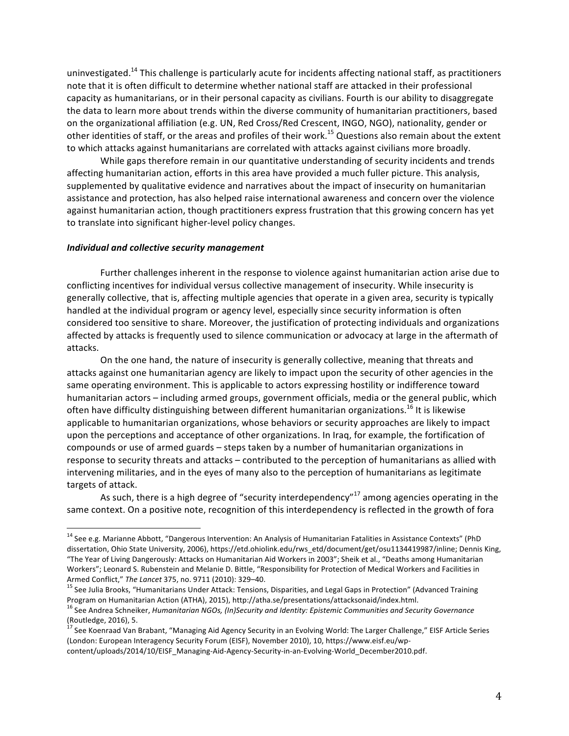uninvestigated.<sup>14</sup> This challenge is particularly acute for incidents affecting national staff, as practitioners note that it is often difficult to determine whether national staff are attacked in their professional capacity as humanitarians, or in their personal capacity as civilians. Fourth is our ability to disaggregate the data to learn more about trends within the diverse community of humanitarian practitioners, based on the organizational affiliation (e.g. UN, Red Cross/Red Crescent, INGO, NGO), nationality, gender or other identities of staff, or the areas and profiles of their work.<sup>15</sup> Questions also remain about the extent to which attacks against humanitarians are correlated with attacks against civilians more broadly.

While gaps therefore remain in our quantitative understanding of security incidents and trends affecting humanitarian action, efforts in this area have provided a much fuller picture. This analysis, supplemented by qualitative evidence and narratives about the impact of insecurity on humanitarian assistance and protection, has also helped raise international awareness and concern over the violence against humanitarian action, though practitioners express frustration that this growing concern has yet to translate into significant higher-level policy changes.

#### **Individual and collective security management**

Further challenges inherent in the response to violence against humanitarian action arise due to conflicting incentives for individual versus collective management of insecurity. While insecurity is generally collective, that is, affecting multiple agencies that operate in a given area, security is typically handled at the individual program or agency level, especially since security information is often considered too sensitive to share. Moreover, the justification of protecting individuals and organizations affected by attacks is frequently used to silence communication or advocacy at large in the aftermath of attacks.

On the one hand, the nature of insecurity is generally collective, meaning that threats and attacks against one humanitarian agency are likely to impact upon the security of other agencies in the same operating environment. This is applicable to actors expressing hostility or indifference toward humanitarian actors – including armed groups, government officials, media or the general public, which often have difficulty distinguishing between different humanitarian organizations.<sup>16</sup> It is likewise applicable to humanitarian organizations, whose behaviors or security approaches are likely to impact upon the perceptions and acceptance of other organizations. In Iraq, for example, the fortification of compounds or use of armed guards - steps taken by a number of humanitarian organizations in response to security threats and attacks – contributed to the perception of humanitarians as allied with intervening militaries, and in the eyes of many also to the perception of humanitarians as legitimate targets of attack.

As such, there is a high degree of "security interdependency"<sup>17</sup> among agencies operating in the same context. On a positive note, recognition of this interdependency is reflected in the growth of fora

content/uploads/2014/10/EISF\_Managing-Aid-Agency-Security-in-an-Evolving-World\_December2010.pdf.

<sup>&</sup>lt;sup>14</sup> See e.g. Marianne Abbott, "Dangerous Intervention: An Analysis of Humanitarian Fatalities in Assistance Contexts" (PhD dissertation, Ohio State University, 2006), https://etd.ohiolink.edu/rws\_etd/document/get/osu1134419987/inline; Dennis King, "The Year of Living Dangerously: Attacks on Humanitarian Aid Workers in 2003"; Sheik et al., "Deaths among Humanitarian Workers"; Leonard S. Rubenstein and Melanie D. Bittle, "Responsibility for Protection of Medical Workers and Facilities in Armed Conflict," The Lancet 375, no. 9711 (2010): 329–40.<br><sup>15</sup> See Julia Brooks, "Humanitarians Under Attack: Tensions, Disparities, and Legal Gaps in Protection" (Advanced Training

Program on Humanitarian Action (ATHA), 2015), http://atha.se/presentations/attacksonaid/index.html.

<sup>&</sup>lt;sup>16</sup> See Andrea Schneiker, *Humanitarian NGOs, (In)Security and Identity: Epistemic Communities and Security Governance* (Routledge, 2016), 5.

 $^{17}$  See Koenraad Van Brabant, "Managing Aid Agency Security in an Evolving World: The Larger Challenge," EISF Article Series (London: European Interagency Security Forum (EISF), November 2010), 10, https://www.eisf.eu/wp-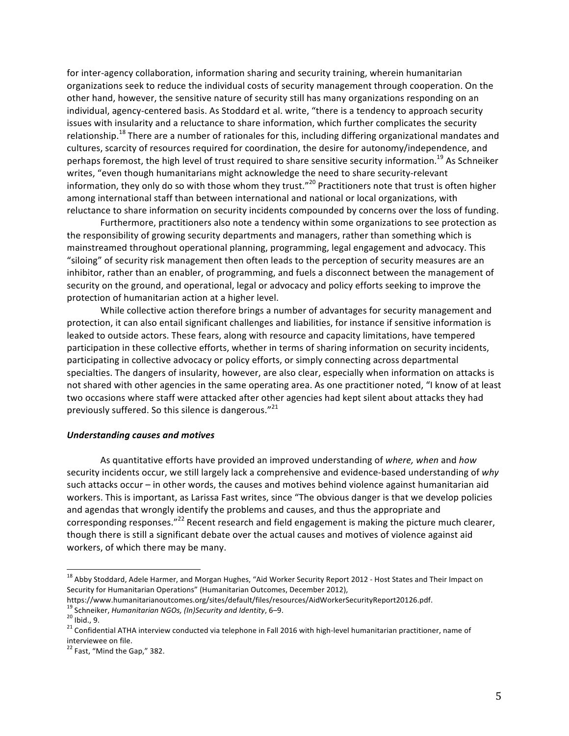for inter-agency collaboration, information sharing and security training, wherein humanitarian organizations seek to reduce the individual costs of security management through cooperation. On the other hand, however, the sensitive nature of security still has many organizations responding on an individual, agency-centered basis. As Stoddard et al. write, "there is a tendency to approach security issues with insularity and a reluctance to share information, which further complicates the security relationship.<sup>18</sup> There are a number of rationales for this, including differing organizational mandates and cultures, scarcity of resources required for coordination, the desire for autonomy/independence, and perhaps foremost, the high level of trust required to share sensitive security information.<sup>19</sup> As Schneiker writes, "even though humanitarians might acknowledge the need to share security-relevant information, they only do so with those whom they trust."<sup>20</sup> Practitioners note that trust is often higher among international staff than between international and national or local organizations, with reluctance to share information on security incidents compounded by concerns over the loss of funding.

Furthermore, practitioners also note a tendency within some organizations to see protection as the responsibility of growing security departments and managers, rather than something which is mainstreamed throughout operational planning, programming, legal engagement and advocacy. This "siloing" of security risk management then often leads to the perception of security measures are an inhibitor, rather than an enabler, of programming, and fuels a disconnect between the management of security on the ground, and operational, legal or advocacy and policy efforts seeking to improve the protection of humanitarian action at a higher level.

While collective action therefore brings a number of advantages for security management and protection, it can also entail significant challenges and liabilities, for instance if sensitive information is leaked to outside actors. These fears, along with resource and capacity limitations, have tempered participation in these collective efforts, whether in terms of sharing information on security incidents, participating in collective advocacy or policy efforts, or simply connecting across departmental specialties. The dangers of insularity, however, are also clear, especially when information on attacks is not shared with other agencies in the same operating area. As one practitioner noted, "I know of at least two occasions where staff were attacked after other agencies had kept silent about attacks they had previously suffered. So this silence is dangerous." $^{21}$ 

#### *Understanding causes and motives*

As quantitative efforts have provided an improved understanding of where, when and how security incidents occur, we still largely lack a comprehensive and evidence-based understanding of why such attacks occur – in other words, the causes and motives behind violence against humanitarian aid workers. This is important, as Larissa Fast writes, since "The obvious danger is that we develop policies and agendas that wrongly identify the problems and causes, and thus the appropriate and corresponding responses."<sup>22</sup> Recent research and field engagement is making the picture much clearer, though there is still a significant debate over the actual causes and motives of violence against aid workers, of which there may be many.

<sup>&</sup>lt;sup>18</sup> Abby Stoddard, Adele Harmer, and Morgan Hughes, "Aid Worker Security Report 2012 - Host States and Their Impact on Security for Humanitarian Operations" (Humanitarian Outcomes, December 2012),

https://www.humanitarianoutcomes.org/sites/default/files/resources/AidWorkerSecurityReport20126.pdf.<br><sup>19</sup> Schneiker, Humanitarian NGOs, (In)Security and Identity, 6–9.

<sup>&</sup>lt;sup>20</sup> Ibid., 9.<br><sup>21</sup> Confidential ATHA interview conducted via telephone in Fall 2016 with high-level humanitarian practitioner, name of interviewee on file.

 $22$  Fast, "Mind the Gap," 382.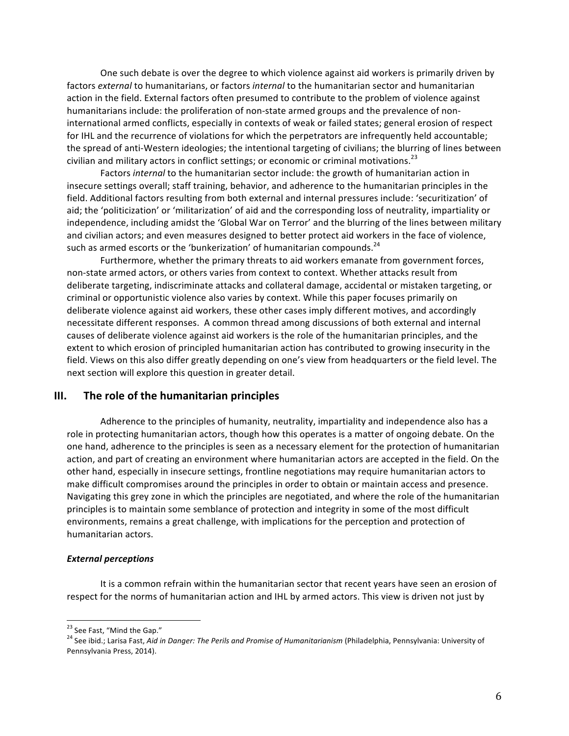One such debate is over the degree to which violence against aid workers is primarily driven by factors *external* to humanitarians, or factors *internal* to the humanitarian sector and humanitarian action in the field. External factors often presumed to contribute to the problem of violence against humanitarians include: the proliferation of non-state armed groups and the prevalence of noninternational armed conflicts, especially in contexts of weak or failed states; general erosion of respect for IHL and the recurrence of violations for which the perpetrators are infrequently held accountable; the spread of anti-Western ideologies; the intentional targeting of civilians; the blurring of lines between civilian and military actors in conflict settings; or economic or criminal motivations.<sup>23</sup>

Factors *internal* to the humanitarian sector include: the growth of humanitarian action in insecure settings overall; staff training, behavior, and adherence to the humanitarian principles in the field. Additional factors resulting from both external and internal pressures include: 'securitization' of aid; the 'politicization' or 'militarization' of aid and the corresponding loss of neutrality, impartiality or independence, including amidst the 'Global War on Terror' and the blurring of the lines between military and civilian actors; and even measures designed to better protect aid workers in the face of violence, such as armed escorts or the 'bunkerization' of humanitarian compounds. $^{24}$ 

Furthermore, whether the primary threats to aid workers emanate from government forces, non-state armed actors, or others varies from context to context. Whether attacks result from deliberate targeting, indiscriminate attacks and collateral damage, accidental or mistaken targeting, or criminal or opportunistic violence also varies by context. While this paper focuses primarily on deliberate violence against aid workers, these other cases imply different motives, and accordingly necessitate different responses. A common thread among discussions of both external and internal causes of deliberate violence against aid workers is the role of the humanitarian principles, and the extent to which erosion of principled humanitarian action has contributed to growing insecurity in the field. Views on this also differ greatly depending on one's view from headquarters or the field level. The next section will explore this question in greater detail.

## **III.** The role of the humanitarian principles

Adherence to the principles of humanity, neutrality, impartiality and independence also has a role in protecting humanitarian actors, though how this operates is a matter of ongoing debate. On the one hand, adherence to the principles is seen as a necessary element for the protection of humanitarian action, and part of creating an environment where humanitarian actors are accepted in the field. On the other hand, especially in insecure settings, frontline negotiations may require humanitarian actors to make difficult compromises around the principles in order to obtain or maintain access and presence. Navigating this grey zone in which the principles are negotiated, and where the role of the humanitarian principles is to maintain some semblance of protection and integrity in some of the most difficult environments, remains a great challenge, with implications for the perception and protection of humanitarian actors.

#### *External perceptions*

It is a common refrain within the humanitarian sector that recent years have seen an erosion of respect for the norms of humanitarian action and IHL by armed actors. This view is driven not just by

<sup>&</sup>lt;sup>23</sup> See Fast, "Mind the Gap."<br><sup>24</sup> See ibid.; Larisa Fast, *Aid in Danger: The Perils and Promise of Humanitarianism* (Philadelphia, Pennsylvania: University of Pennsylvania Press, 2014).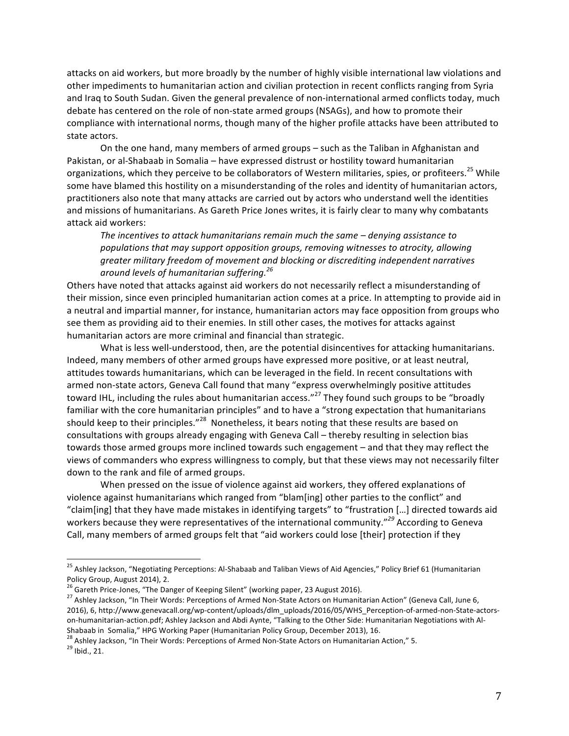attacks on aid workers, but more broadly by the number of highly visible international law violations and other impediments to humanitarian action and civilian protection in recent conflicts ranging from Syria and Iraq to South Sudan. Given the general prevalence of non-international armed conflicts today, much debate has centered on the role of non-state armed groups (NSAGs), and how to promote their compliance with international norms, though many of the higher profile attacks have been attributed to state actors.

On the one hand, many members of armed groups – such as the Taliban in Afghanistan and Pakistan, or al-Shabaab in Somalia – have expressed distrust or hostility toward humanitarian organizations, which they perceive to be collaborators of Western militaries, spies, or profiteers.<sup>25</sup> While some have blamed this hostility on a misunderstanding of the roles and identity of humanitarian actors, practitioners also note that many attacks are carried out by actors who understand well the identities and missions of humanitarians. As Gareth Price Jones writes, it is fairly clear to many why combatants attack aid workers:

The incentives to attack humanitarians remain much the same – denying assistance to populations that may support opposition groups, removing witnesses to atrocity, allowing greater military freedom of movement and blocking or discrediting independent narratives *around levels of humanitarian suffering.<sup>26</sup>*

Others have noted that attacks against aid workers do not necessarily reflect a misunderstanding of their mission, since even principled humanitarian action comes at a price. In attempting to provide aid in a neutral and impartial manner, for instance, humanitarian actors may face opposition from groups who see them as providing aid to their enemies. In still other cases, the motives for attacks against humanitarian actors are more criminal and financial than strategic.

What is less well-understood, then, are the potential disincentives for attacking humanitarians. Indeed, many members of other armed groups have expressed more positive, or at least neutral, attitudes towards humanitarians, which can be leveraged in the field. In recent consultations with armed non-state actors, Geneva Call found that many "express overwhelmingly positive attitudes toward IHL, including the rules about humanitarian access."<sup>27</sup> They found such groups to be "broadly familiar with the core humanitarian principles" and to have a "strong expectation that humanitarians should keep to their principles."<sup>28</sup> Nonetheless, it bears noting that these results are based on consultations with groups already engaging with Geneva Call – thereby resulting in selection bias towards those armed groups more inclined towards such engagement - and that they may reflect the views of commanders who express willingness to comply, but that these views may not necessarily filter down to the rank and file of armed groups.

When pressed on the issue of violence against aid workers, they offered explanations of violence against humanitarians which ranged from "blam[ing] other parties to the conflict" and "claim[ing] that they have made mistakes in identifying targets" to "frustration [...] directed towards aid workers because they were representatives of the international community."<sup>29</sup> According to Geneva Call, many members of armed groups felt that "aid workers could lose [their] protection if they

<sup>28</sup> Ashley Jackson, "In Their Words: Perceptions of Armed Non-State Actors on Humanitarian Action," 5.<br><sup>29</sup> Ibid., 21.

<sup>&</sup>lt;sup>25</sup> Ashley Jackson, "Negotiating Perceptions: Al-Shabaab and Taliban Views of Aid Agencies," Policy Brief 61 (Humanitarian Policy Group, August 2014), 2.<br><sup>26</sup> Gareth Price-Jones, "The Danger of Keeping Silent" (working paper, 23 August 2016).

<sup>&</sup>lt;sup>27</sup> Ashley Jackson, "In Their Words: Perceptions of Armed Non-State Actors on Humanitarian Action" (Geneva Call, June 6, 2016), 6, http://www.genevacall.org/wp-content/uploads/dlm\_uploads/2016/05/WHS\_Perception-of-armed-non-State-actorson-humanitarian-action.pdf; Ashley Jackson and Abdi Aynte, "Talking to the Other Side: Humanitarian Negotiations with Al-Shabaab in Somalia," HPG Working Paper (Humanitarian Policy Group, December 2013), 16.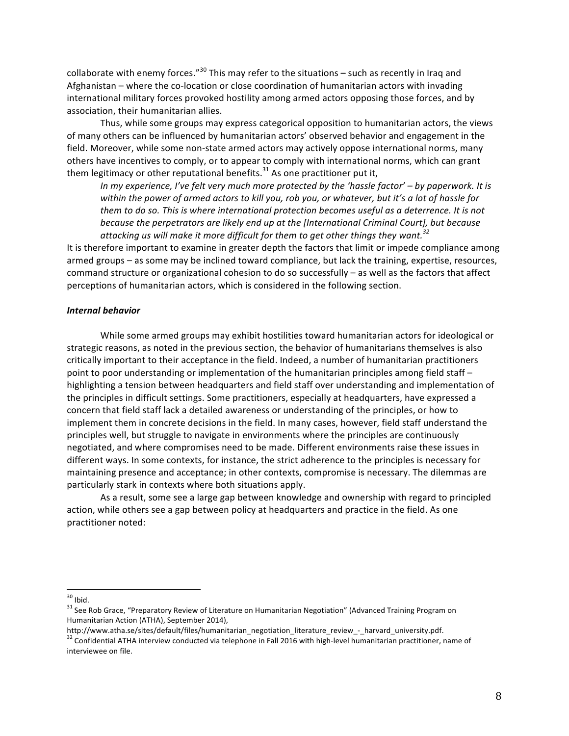collaborate with enemy forces."<sup>30</sup> This may refer to the situations – such as recently in Iraq and Afghanistan – where the co-location or close coordination of humanitarian actors with invading international military forces provoked hostility among armed actors opposing those forces, and by association, their humanitarian allies.

Thus, while some groups may express categorical opposition to humanitarian actors, the views of many others can be influenced by humanitarian actors' observed behavior and engagement in the field. Moreover, while some non-state armed actors may actively oppose international norms, many others have incentives to comply, or to appear to comply with international norms, which can grant them legitimacy or other reputational benefits. $31$  As one practitioner put it,

*In* my experience, I've felt very much more protected by the 'hassle factor' – by paperwork. It is within the power of armed actors to kill you, rob you, or whatever, but it's a lot of hassle for *them to do so. This is where international protection becomes useful as a deterrence. It is not because the perpetrators are likely end up at the [International Criminal Court], but because* attacking us will make it more difficult for them to get other things they want.<sup>32</sup>

It is therefore important to examine in greater depth the factors that limit or impede compliance among armed groups – as some may be inclined toward compliance, but lack the training, expertise, resources, command structure or organizational cohesion to do so successfully  $-$  as well as the factors that affect perceptions of humanitarian actors, which is considered in the following section.

#### *Internal behavior*

While some armed groups may exhibit hostilities toward humanitarian actors for ideological or strategic reasons, as noted in the previous section, the behavior of humanitarians themselves is also critically important to their acceptance in the field. Indeed, a number of humanitarian practitioners point to poor understanding or implementation of the humanitarian principles among field staff – highlighting a tension between headquarters and field staff over understanding and implementation of the principles in difficult settings. Some practitioners, especially at headquarters, have expressed a concern that field staff lack a detailed awareness or understanding of the principles, or how to implement them in concrete decisions in the field. In many cases, however, field staff understand the principles well, but struggle to navigate in environments where the principles are continuously negotiated, and where compromises need to be made. Different environments raise these issues in different ways. In some contexts, for instance, the strict adherence to the principles is necessary for maintaining presence and acceptance; in other contexts, compromise is necessary. The dilemmas are particularly stark in contexts where both situations apply.

As a result, some see a large gap between knowledge and ownership with regard to principled action, while others see a gap between policy at headquarters and practice in the field. As one practitioner noted:

 $30$  Ibid.<br> $31$  See Rob Grace, "Preparatory Review of Literature on Humanitarian Negotiation" (Advanced Training Program on Humanitarian Action (ATHA), September 2014),<br>http://www.atha.se/sites/default/files/humanitarian negotiation literature review - harvard university.pdf.

<sup>&</sup>lt;sup>32</sup> Confidential ATHA interview conducted via telephone in Fall 2016 with high-level humanitarian practitioner, name of interviewee on file.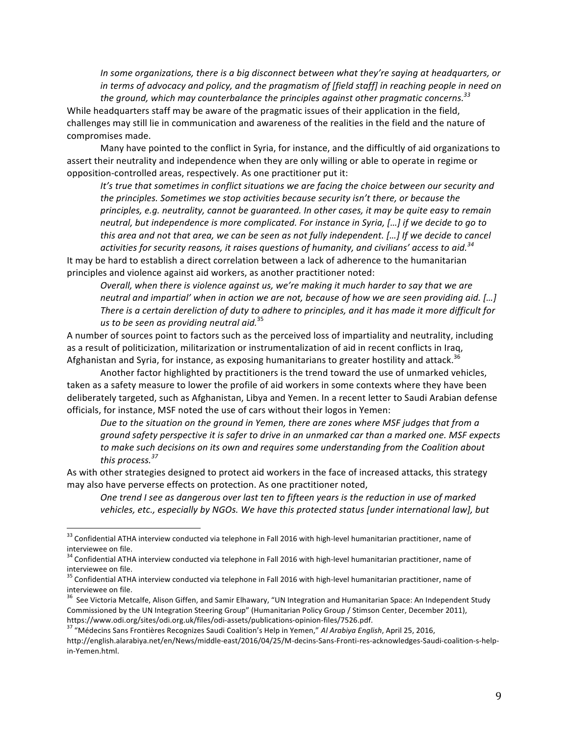*In* some organizations, there is a big disconnect between what they're saying at headquarters, or in terms of advocacy and policy, and the pragmatism of [field staff] in reaching people in need on the ground, which may counterbalance the principles against other pragmatic concerns.<sup>33</sup> While headquarters staff may be aware of the pragmatic issues of their application in the field, challenges may still lie in communication and awareness of the realities in the field and the nature of compromises made.

Many have pointed to the conflict in Syria, for instance, and the difficultly of aid organizations to assert their neutrality and independence when they are only willing or able to operate in regime or opposition-controlled areas, respectively. As one practitioner put it:

It's true that sometimes in conflict situations we are facing the choice between our security and the principles. Sometimes we stop activities because security isn't there, or because the *principles, e.g. neutrality, cannot be guaranteed. In other cases, it may be quite easy to remain neutral, but independence is more complicated. For instance in Syria, […] if we decide to go to* this area and not that area, we can be seen as not fully independent. [...] If we decide to cancel activities for security reasons, it raises questions of humanity, and civilians' access to aid.<sup>34</sup>

It may be hard to establish a direct correlation between a lack of adherence to the humanitarian principles and violence against aid workers, as another practitioner noted:

*Overall, when there is violence against us, we're making it much harder to say that we are neutral and impartial'* when in action we are not, because of how we are seen providing aid. […] *There is a certain dereliction of duty to adhere to principles, and it has made it more difficult for us* to be seen as providing neutral aid.<sup>35</sup>

A number of sources point to factors such as the perceived loss of impartiality and neutrality, including as a result of politicization, militarization or instrumentalization of aid in recent conflicts in Iraq, Afghanistan and Syria, for instance, as exposing humanitarians to greater hostility and attack.<sup>36</sup>

Another factor highlighted by practitioners is the trend toward the use of unmarked vehicles, taken as a safety measure to lower the profile of aid workers in some contexts where they have been deliberately targeted, such as Afghanistan, Libya and Yemen. In a recent letter to Saudi Arabian defense officials, for instance, MSF noted the use of cars without their logos in Yemen:

Due to the situation on the ground in Yemen, there are zones where MSF judges that from a *ground safety perspective it is safer to drive in an unmarked car than a marked one. MSF expects* to make such decisions on its own and requires some understanding from the Coalition about *this process.<sup>37</sup>*

As with other strategies designed to protect aid workers in the face of increased attacks, this strategy may also have perverse effects on protection. As one practitioner noted,

One trend I see as dangerous over last ten to fifteen years is the reduction in use of marked vehicles, etc., especially by NGOs. We have this protected status *[under international law]*, but

 $33$  Confidential ATHA interview conducted via telephone in Fall 2016 with high-level humanitarian practitioner, name of interviewee on file.

 $34$  Confidential ATHA interview conducted via telephone in Fall 2016 with high-level humanitarian practitioner, name of interviewee on file.

 $35$  Confidential ATHA interview conducted via telephone in Fall 2016 with high-level humanitarian practitioner, name of interviewee on file.

 $36$  See Victoria Metcalfe, Alison Giffen, and Samir Elhawary, "UN Integration and Humanitarian Space: An Independent Study Commissioned by the UN Integration Steering Group" (Humanitarian Policy Group / Stimson Center, December 2011), https://www.odi.org/sites/odi.org.uk/files/odi-assets/publications-opinion-files/7526.pdf.<br><sup>37</sup> "Médecins Sans Frontières Recognizes Saudi Coalition's Help in Yemen," *Al Arabiya English*, April 25, 2016,

http://english.alarabiya.net/en/News/middle-east/2016/04/25/M-decins-Sans-Fronti-res-acknowledges-Saudi-coalition-s-helpin-Yemen.html.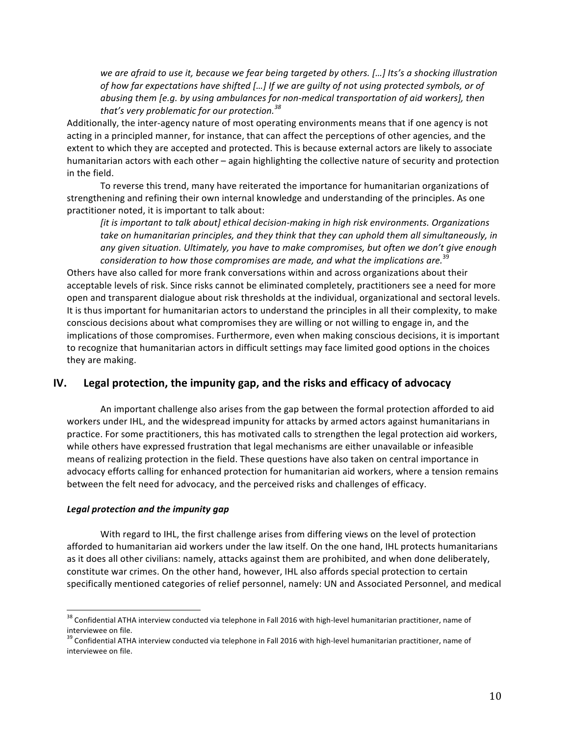we are afraid to use it, because we fear being targeted by others. […] Its's a shocking illustration of how far expectations have shifted [...] If we are guilty of not using protected symbols, or of *abusing them [e.g. by using ambulances for non-medical transportation of aid workers], then that's* very problematic for our protection.<sup>38</sup>

Additionally, the inter-agency nature of most operating environments means that if one agency is not acting in a principled manner, for instance, that can affect the perceptions of other agencies, and the extent to which they are accepted and protected. This is because external actors are likely to associate humanitarian actors with each other – again highlighting the collective nature of security and protection in the field.

To reverse this trend, many have reiterated the importance for humanitarian organizations of strengthening and refining their own internal knowledge and understanding of the principles. As one practitioner noted, it is important to talk about:

*[it is important to talk about] ethical decision-making in high risk environments. Organizations* take on humanitarian principles, and they think that they can uphold them all simultaneously, in any given situation. Ultimately, you have to make compromises, but often we don't give enough consideration to how those compromises are made, and what the implications are.<sup>39</sup>

Others have also called for more frank conversations within and across organizations about their acceptable levels of risk. Since risks cannot be eliminated completely, practitioners see a need for more open and transparent dialogue about risk thresholds at the individual, organizational and sectoral levels. It is thus important for humanitarian actors to understand the principles in all their complexity, to make conscious decisions about what compromises they are willing or not willing to engage in, and the implications of those compromises. Furthermore, even when making conscious decisions, it is important to recognize that humanitarian actors in difficult settings may face limited good options in the choices they are making.

# **IV.** Legal protection, the impunity gap, and the risks and efficacy of advocacy

An important challenge also arises from the gap between the formal protection afforded to aid workers under IHL, and the widespread impunity for attacks by armed actors against humanitarians in practice. For some practitioners, this has motivated calls to strengthen the legal protection aid workers, while others have expressed frustration that legal mechanisms are either unavailable or infeasible means of realizing protection in the field. These questions have also taken on central importance in advocacy efforts calling for enhanced protection for humanitarian aid workers, where a tension remains between the felt need for advocacy, and the perceived risks and challenges of efficacy.

### Legal protection and the *impunity* gap

With regard to IHL, the first challenge arises from differing views on the level of protection afforded to humanitarian aid workers under the law itself. On the one hand, IHL protects humanitarians as it does all other civilians: namely, attacks against them are prohibited, and when done deliberately, constitute war crimes. On the other hand, however, IHL also affords special protection to certain specifically mentioned categories of relief personnel, namely: UN and Associated Personnel, and medical

 $38$  Confidential ATHA interview conducted via telephone in Fall 2016 with high-level humanitarian practitioner, name of interviewee on file.<br><sup>39</sup> Confidential ATHA interview conducted via telephone in Fall 2016 with high-level humanitarian practitioner, name of

interviewee on file.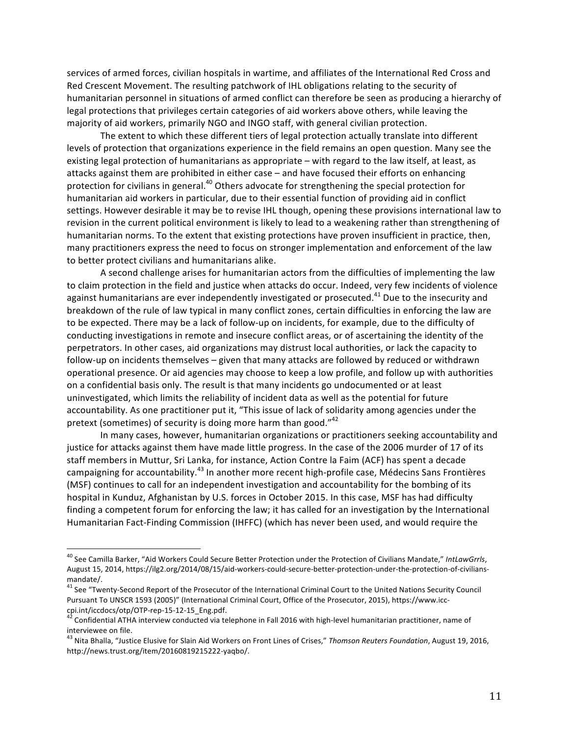services of armed forces, civilian hospitals in wartime, and affiliates of the International Red Cross and Red Crescent Movement. The resulting patchwork of IHL obligations relating to the security of humanitarian personnel in situations of armed conflict can therefore be seen as producing a hierarchy of legal protections that privileges certain categories of aid workers above others, while leaving the majority of aid workers, primarily NGO and INGO staff, with general civilian protection.

The extent to which these different tiers of legal protection actually translate into different levels of protection that organizations experience in the field remains an open question. Many see the existing legal protection of humanitarians as appropriate – with regard to the law itself, at least, as attacks against them are prohibited in either case – and have focused their efforts on enhancing protection for civilians in general.<sup>40</sup> Others advocate for strengthening the special protection for humanitarian aid workers in particular, due to their essential function of providing aid in conflict settings. However desirable it may be to revise IHL though, opening these provisions international law to revision in the current political environment is likely to lead to a weakening rather than strengthening of humanitarian norms. To the extent that existing protections have proven insufficient in practice, then, many practitioners express the need to focus on stronger implementation and enforcement of the law to better protect civilians and humanitarians alike.

A second challenge arises for humanitarian actors from the difficulties of implementing the law to claim protection in the field and justice when attacks do occur. Indeed, very few incidents of violence against humanitarians are ever independently investigated or prosecuted.<sup>41</sup> Due to the insecurity and breakdown of the rule of law typical in many conflict zones, certain difficulties in enforcing the law are to be expected. There may be a lack of follow-up on incidents, for example, due to the difficulty of conducting investigations in remote and insecure conflict areas, or of ascertaining the identity of the perpetrators. In other cases, aid organizations may distrust local authorities, or lack the capacity to follow-up on incidents themselves – given that many attacks are followed by reduced or withdrawn operational presence. Or aid agencies may choose to keep a low profile, and follow up with authorities on a confidential basis only. The result is that many incidents go undocumented or at least uninvestigated, which limits the reliability of incident data as well as the potential for future accountability. As one practitioner put it, "This issue of lack of solidarity among agencies under the pretext (sometimes) of security is doing more harm than good." $42$ 

In many cases, however, humanitarian organizations or practitioners seeking accountability and justice for attacks against them have made little progress. In the case of the 2006 murder of 17 of its staff members in Muttur, Sri Lanka, for instance, Action Contre la Faim (ACF) has spent a decade campaigning for accountability.<sup>43</sup> In another more recent high-profile case, Médecins Sans Frontières (MSF) continues to call for an independent investigation and accountability for the bombing of its hospital in Kunduz, Afghanistan by U.S. forces in October 2015. In this case, MSF has had difficulty finding a competent forum for enforcing the law; it has called for an investigation by the International Humanitarian Fact-Finding Commission (IHFFC) (which has never been used, and would require the

<sup>&</sup>lt;sup>40</sup> See Camilla Barker, "Aid Workers Could Secure Better Protection under the Protection of Civilians Mandate," IntLawGrrls, August 15, 2014, https://ilg2.org/2014/08/15/aid-workers-could-secure-better-protection-under-the-protection-of-civiliansmandate/.

 $41$  See "Twenty-Second Report of the Prosecutor of the International Criminal Court to the United Nations Security Council Pursuant To UNSCR 1593 (2005)" (International Criminal Court, Office of the Prosecutor, 2015), https://www.icc-<br>cpi.int/iccdocs/otp/OTP-rep-15-12-15 Eng.pdf.

 $42$  Confidential ATHA interview conducted via telephone in Fall 2016 with high-level humanitarian practitioner, name of interviewee on file.

<sup>&</sup>lt;sup>43</sup> Nita Bhalla, "Justice Elusive for Slain Aid Workers on Front Lines of Crises," Thomson Reuters Foundation, August 19, 2016, http://news.trust.org/item/20160819215222-yaqbo/.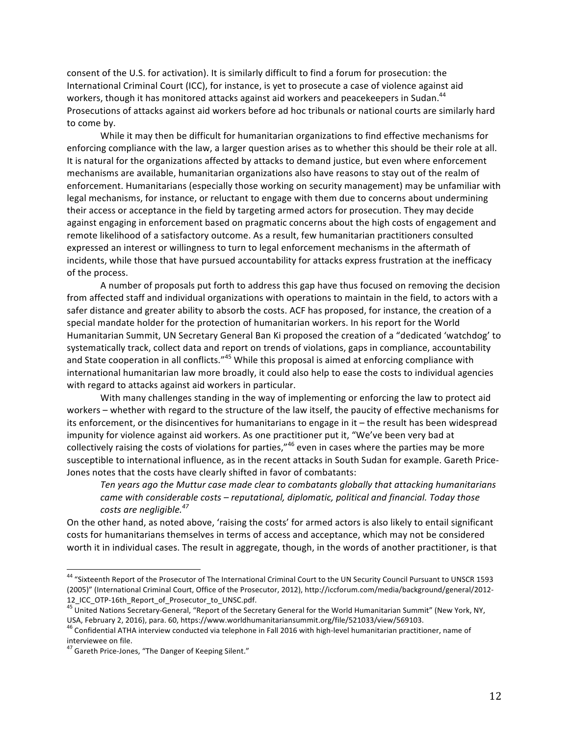consent of the U.S. for activation). It is similarly difficult to find a forum for prosecution: the International Criminal Court (ICC), for instance, is yet to prosecute a case of violence against aid workers, though it has monitored attacks against aid workers and peacekeepers in Sudan.<sup>44</sup> Prosecutions of attacks against aid workers before ad hoc tribunals or national courts are similarly hard to come by.

While it may then be difficult for humanitarian organizations to find effective mechanisms for enforcing compliance with the law, a larger question arises as to whether this should be their role at all. It is natural for the organizations affected by attacks to demand justice, but even where enforcement mechanisms are available, humanitarian organizations also have reasons to stay out of the realm of enforcement. Humanitarians (especially those working on security management) may be unfamiliar with legal mechanisms, for instance, or reluctant to engage with them due to concerns about undermining their access or acceptance in the field by targeting armed actors for prosecution. They may decide against engaging in enforcement based on pragmatic concerns about the high costs of engagement and remote likelihood of a satisfactory outcome. As a result, few humanitarian practitioners consulted expressed an interest or willingness to turn to legal enforcement mechanisms in the aftermath of incidents, while those that have pursued accountability for attacks express frustration at the inefficacy of the process.

A number of proposals put forth to address this gap have thus focused on removing the decision from affected staff and individual organizations with operations to maintain in the field, to actors with a safer distance and greater ability to absorb the costs. ACF has proposed, for instance, the creation of a special mandate holder for the protection of humanitarian workers. In his report for the World Humanitarian Summit, UN Secretary General Ban Ki proposed the creation of a "dedicated 'watchdog' to systematically track, collect data and report on trends of violations, gaps in compliance, accountability and State cooperation in all conflicts."<sup>45</sup> While this proposal is aimed at enforcing compliance with international humanitarian law more broadly, it could also help to ease the costs to individual agencies with regard to attacks against aid workers in particular.

With many challenges standing in the way of implementing or enforcing the law to protect aid workers – whether with regard to the structure of the law itself, the paucity of effective mechanisms for its enforcement, or the disincentives for humanitarians to engage in it  $-$  the result has been widespread impunity for violence against aid workers. As one practitioner put it, "We've been very bad at collectively raising the costs of violations for parties,"<sup>46</sup> even in cases where the parties may be more susceptible to international influence, as in the recent attacks in South Sudan for example. Gareth Price-Jones notes that the costs have clearly shifted in favor of combatants:

Ten years ago the Muttur case made clear to combatants globally that attacking humanitarians *came* with considerable costs – reputational, diplomatic, political and financial. Today those *costs are negligible.*<sup>47</sup>

On the other hand, as noted above, 'raising the costs' for armed actors is also likely to entail significant costs for humanitarians themselves in terms of access and acceptance, which may not be considered worth it in individual cases. The result in aggregate, though, in the words of another practitioner, is that

<sup>&</sup>lt;sup>44</sup> "Sixteenth Report of the Prosecutor of The International Criminal Court to the UN Security Council Pursuant to UNSCR 1593 (2005)" (International Criminal Court, Office of the Prosecutor, 2012), http://iccforum.com/media/background/general/2012-12\_ICC\_OTP-16th\_Report\_of\_Prosecutor\_to\_UNSC.pdf.<br><sup>45</sup> United Nations Secretary-General, "Report of the Secretary General for the World Humanitarian Summit" (New York, NY,

USA, February 2, 2016), para. 60, https://www.worldhumanitariansummit.org/file/521033/view/569103.<br><sup>46</sup> Confidential ATHA interview conducted via telephone in Fall 2016 with high-level humanitarian practitioner, name of interviewee on file.

<sup>&</sup>lt;sup>47</sup> Gareth Price-Jones, "The Danger of Keeping Silent."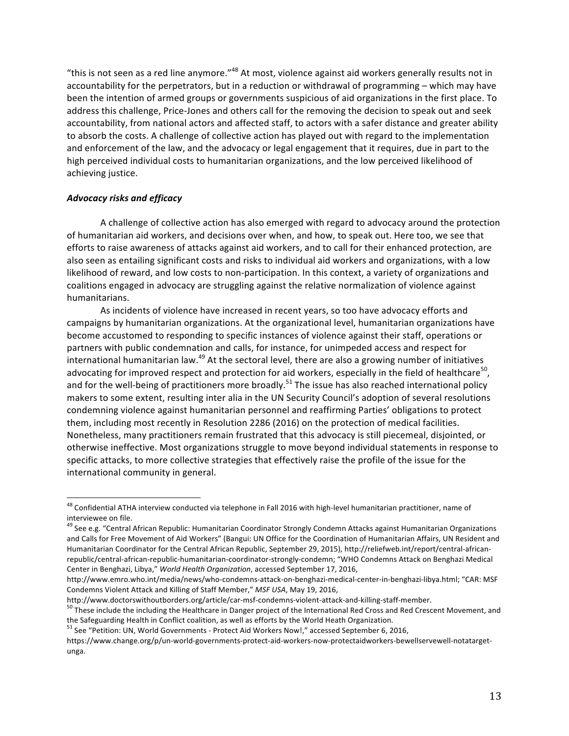"this is not seen as a red line anymore."<sup>48</sup> At most, violence against aid workers generally results not in accountability for the perpetrators, but in a reduction or withdrawal of programming – which may have been the intention of armed groups or governments suspicious of aid organizations in the first place. To address this challenge, Price-Jones and others call for the removing the decision to speak out and seek accountability, from national actors and affected staff, to actors with a safer distance and greater ability to absorb the costs. A challenge of collective action has played out with regard to the implementation and enforcement of the law, and the advocacy or legal engagement that it requires, due in part to the high perceived individual costs to humanitarian organizations, and the low perceived likelihood of achieving justice.

## *Advocacy risks and efficacy*

A challenge of collective action has also emerged with regard to advocacy around the protection of humanitarian aid workers, and decisions over when, and how, to speak out. Here too, we see that efforts to raise awareness of attacks against aid workers, and to call for their enhanced protection, are also seen as entailing significant costs and risks to individual aid workers and organizations, with a low likelihood of reward, and low costs to non-participation. In this context, a variety of organizations and coalitions engaged in advocacy are struggling against the relative normalization of violence against humanitarians.

As incidents of violence have increased in recent years, so too have advocacy efforts and campaigns by humanitarian organizations. At the organizational level, humanitarian organizations have become accustomed to responding to specific instances of violence against their staff, operations or partners with public condemnation and calls, for instance, for unimpeded access and respect for international humanitarian law.<sup>49</sup> At the sectoral level, there are also a growing number of initiatives advocating for improved respect and protection for aid workers, especially in the field of healthcare<sup>50</sup>, and for the well-being of practitioners more broadly.<sup>51</sup> The issue has also reached international policy makers to some extent, resulting inter alia in the UN Security Council's adoption of several resolutions condemning violence against humanitarian personnel and reaffirming Parties' obligations to protect them, including most recently in Resolution 2286 (2016) on the protection of medical facilities. Nonetheless, many practitioners remain frustrated that this advocacy is still piecemeal, disjointed, or otherwise ineffective. Most organizations struggle to move beyond individual statements in response to specific attacks, to more collective strategies that effectively raise the profile of the issue for the international community in general.

 $48$  Confidential ATHA interview conducted via telephone in Fall 2016 with high-level humanitarian practitioner, name of interviewee on file.

<sup>&</sup>lt;sup>49</sup> See e.g. "Central African Republic: Humanitarian Coordinator Strongly Condemn Attacks against Humanitarian Organizations and Calls for Free Movement of Aid Workers" (Bangui: UN Office for the Coordination of Humanitarian Affairs, UN Resident and Humanitarian Coordinator for the Central African Republic, September 29, 2015), http://reliefweb.int/report/central-africanrepublic/central-african-republic-humanitarian-coordinator-strongly-condemn; "WHO Condemns Attack on Benghazi Medical Center in Benghazi, Libya," *World Health Organization*, accessed September 17, 2016,

http://www.emro.who.int/media/news/who-condemns-attack-on-benghazi-medical-center-in-benghazi-libya.html; "CAR: MSF Condemns Violent Attack and Killing of Staff Member," *MSF USA*, May 19, 2016,

http://www.doctorswithoutborders.org/article/car-msf-condemns-violent-attack-and-killing-staff-member.<br><sup>50</sup> These include the including the Healthcare in Danger project of the International Red Cross and Red Crescent Movem

the Safeguarding Health in Conflict coalition, as well as efforts by the World Heath Organization.

<sup>&</sup>lt;sup>51</sup> See "Petition: UN, World Governments - Protect Aid Workers Now!," accessed September 6, 2016,

https://www.change.org/p/un-world-governments-protect-aid-workers-now-protectaidworkers-bewellservewell-notatargetunga.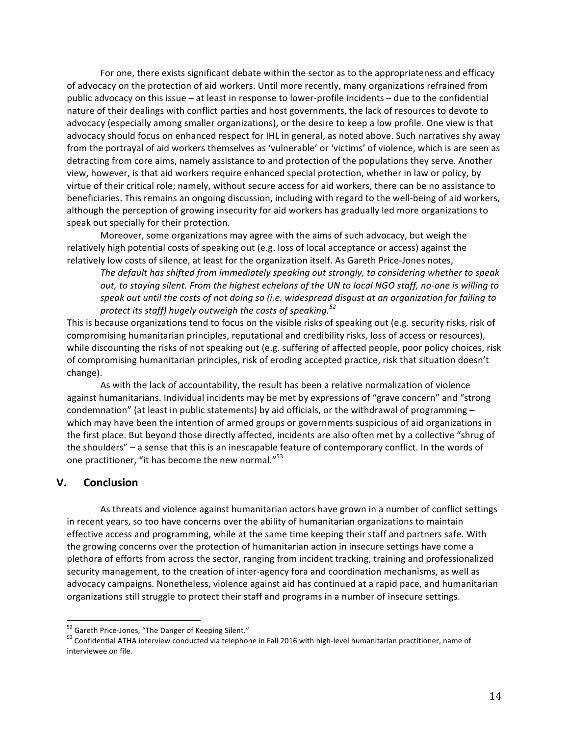For one, there exists significant debate within the sector as to the appropriateness and efficacy of advocacy on the protection of aid workers. Until more recently, many organizations refrained from public advocacy on this issue – at least in response to lower-profile incidents – due to the confidential nature of their dealings with conflict parties and host governments, the lack of resources to devote to advocacy (especially among smaller organizations), or the desire to keep a low profile. One view is that advocacy should focus on enhanced respect for IHL in general, as noted above. Such narratives shy away from the portrayal of aid workers themselves as 'vulnerable' or 'victims' of violence, which is are seen as detracting from core aims, namely assistance to and protection of the populations they serve. Another view, however, is that aid workers require enhanced special protection, whether in law or policy, by virtue of their critical role; namely, without secure access for aid workers, there can be no assistance to beneficiaries. This remains an ongoing discussion, including with regard to the well-being of aid workers, although the perception of growing insecurity for aid workers has gradually led more organizations to speak out specially for their protection.

Moreover, some organizations may agree with the aims of such advocacy, but weigh the relatively high potential costs of speaking out (e.g. loss of local acceptance or access) against the relatively low costs of silence, at least for the organization itself. As Gareth Price-Jones notes,

The default has shifted from immediately speaking out strongly, to considering whether to speak *out, to staying silent. From the highest echelons of the UN to local NGO staff, no-one is willing to*  speak out until the costs of not doing so (i.e. widespread disgust at an organization for failing to *protect its staff) hugely outweigh the costs of speaking.<sup>52</sup>*

This is because organizations tend to focus on the visible risks of speaking out (e.g. security risks, risk of compromising humanitarian principles, reputational and credibility risks, loss of access or resources), while discounting the risks of not speaking out (e.g. suffering of affected people, poor policy choices, risk of compromising humanitarian principles, risk of eroding accepted practice, risk that situation doesn't change).

As with the lack of accountability, the result has been a relative normalization of violence against humanitarians. Individual incidents may be met by expressions of "grave concern" and "strong condemnation" (at least in public statements) by aid officials, or the withdrawal of programming  $$ which may have been the intention of armed groups or governments suspicious of aid organizations in the first place. But beyond those directly affected, incidents are also often met by a collective "shrug of the shoulders" – a sense that this is an inescapable feature of contemporary conflict. In the words of one practitioner, "it has become the new normal."<sup>53</sup>

# **V. Conclusion**

As threats and violence against humanitarian actors have grown in a number of conflict settings in recent years, so too have concerns over the ability of humanitarian organizations to maintain effective access and programming, while at the same time keeping their staff and partners safe. With the growing concerns over the protection of humanitarian action in insecure settings have come a plethora of efforts from across the sector, ranging from incident tracking, training and professionalized security management, to the creation of inter-agency fora and coordination mechanisms, as well as advocacy campaigns. Nonetheless, violence against aid has continued at a rapid pace, and humanitarian organizations still struggle to protect their staff and programs in a number of insecure settings.

 $52$  Gareth Price-Jones, "The Danger of Keeping Silent."<br> $53$  Confidential ATHA interview conducted via telephone in Fall 2016 with high-level humanitarian practitioner, name of interviewee on file.